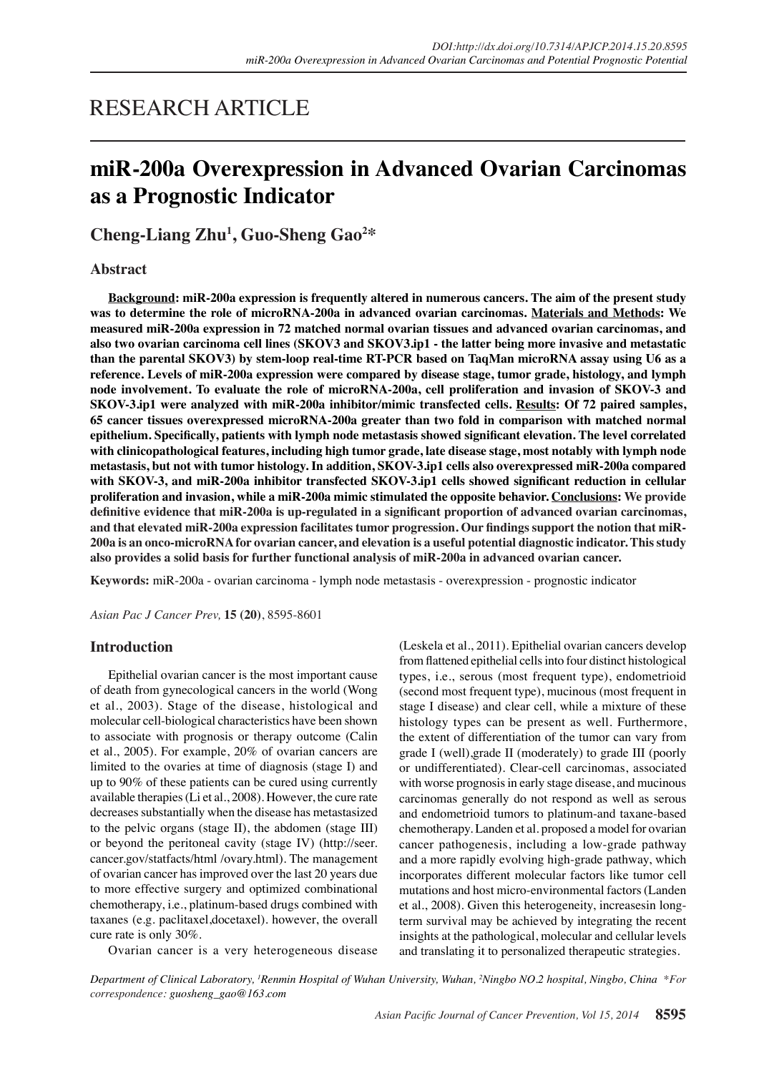# RESEARCH ARTICLE

# **miR-200a Overexpression in Advanced Ovarian Carcinomas as a Prognostic Indicator**

**Cheng-Liang Zhu1 , Guo-Sheng Gao2 \***

# **Abstract**

**Background: miR-200a expression is frequently altered in numerous cancers. The aim of the present study was to determine the role of microRNA-200a in advanced ovarian carcinomas. Materials and Methods: We measured miR-200a expression in 72 matched normal ovarian tissues and advanced ovarian carcinomas, and also two ovarian carcinoma cell lines (SKOV3 and SKOV3.ip1 - the latter being more invasive and metastatic than the parental SKOV3) by stem-loop real-time RT-PCR based on TaqMan microRNA assay using U6 as a reference. Levels of miR-200a expression were compared by disease stage, tumor grade, histology, and lymph node involvement. To evaluate the role of microRNA-200a, cell proliferation and invasion of SKOV-3 and SKOV-3.ip1 were analyzed with miR-200a inhibitor/mimic transfected cells. Results: Of 72 paired samples, 65 cancer tissues overexpressed microRNA-200a greater than two fold in comparison with matched normal epithelium. Specifically, patients with lymph node metastasis showed significant elevation. The level correlated with clinicopathological features, including high tumor grade, late disease stage, most notably with lymph node metastasis, but not with tumor histology. In addition, SKOV-3.ip1 cells also overexpressed miR-200a compared with SKOV-3, and miR-200a inhibitor transfected SKOV-3.ip1 cells showed significant reduction in cellular proliferation and invasion, while a miR-200a mimic stimulated the opposite behavior. Conclusions: We provide definitive evidence that miR-200a is up-regulated in a significant proportion of advanced ovarian carcinomas, and that elevated miR-200a expression facilitates tumor progression. Our findings support the notion that miR-200a is an onco-microRNA for ovarian cancer, and elevation is a useful potential diagnostic indicator. This study also provides a solid basis for further functional analysis of miR-200a in advanced ovarian cancer.**

**Keywords:** miR-200a - ovarian carcinoma - lymph node metastasis - overexpression - prognostic indicator

*Asian Pac J Cancer Prev,* **15 (20)**, 8595-8601

## **Introduction**

Epithelial ovarian cancer is the most important cause of death from gynecological cancers in the world (Wong et al., 2003). Stage of the disease, histological and molecular cell-biological characteristics have been shown to associate with prognosis or therapy outcome (Calin et al., 2005). For example, 20% of ovarian cancers are limited to the ovaries at time of diagnosis (stage I) and up to 90% of these patients can be cured using currently available therapies (Li et al., 2008). However, the cure rate decreases substantially when the disease has metastasized to the pelvic organs (stage II), the abdomen (stage III) or beyond the peritoneal cavity (stage IV) (http://seer. cancer.gov/statfacts/html /ovary.html). The management of ovarian cancer has improved over the last 20 years due to more effective surgery and optimized combinational chemotherapy, i.e., platinum-based drugs combined with taxanes (e.g. paclitaxel,docetaxel). however, the overall cure rate is only 30%.

(Leskela et al., 2011). Epithelial ovarian cancers develop from flattened epithelial cells into four distinct histological types, i.e., serous (most frequent type), endometrioid (second most frequent type), mucinous (most frequent in stage I disease) and clear cell, while a mixture of these histology types can be present as well. Furthermore, the extent of differentiation of the tumor can vary from grade I (well),grade II (moderately) to grade III (poorly or undifferentiated). Clear-cell carcinomas, associated with worse prognosis in early stage disease, and mucinous carcinomas generally do not respond as well as serous and endometrioid tumors to platinum-and taxane-based chemotherapy. Landen et al. proposed a model for ovarian cancer pathogenesis, including a low-grade pathway and a more rapidly evolving high-grade pathway, which incorporates different molecular factors like tumor cell mutations and host micro-environmental factors (Landen et al., 2008). Given this heterogeneity, increasesin longterm survival may be achieved by integrating the recent insights at the pathological, molecular and cellular levels and translating it to personalized therapeutic strategies.

Ovarian cancer is a very heterogeneous disease

*Department of Clinical Laboratory, 1 Renmin Hospital of Wuhan University, Wuhan, 2 Ningbo NO.2 hospital, Ningbo, China \*For correspondence: guosheng\_gao@163.com*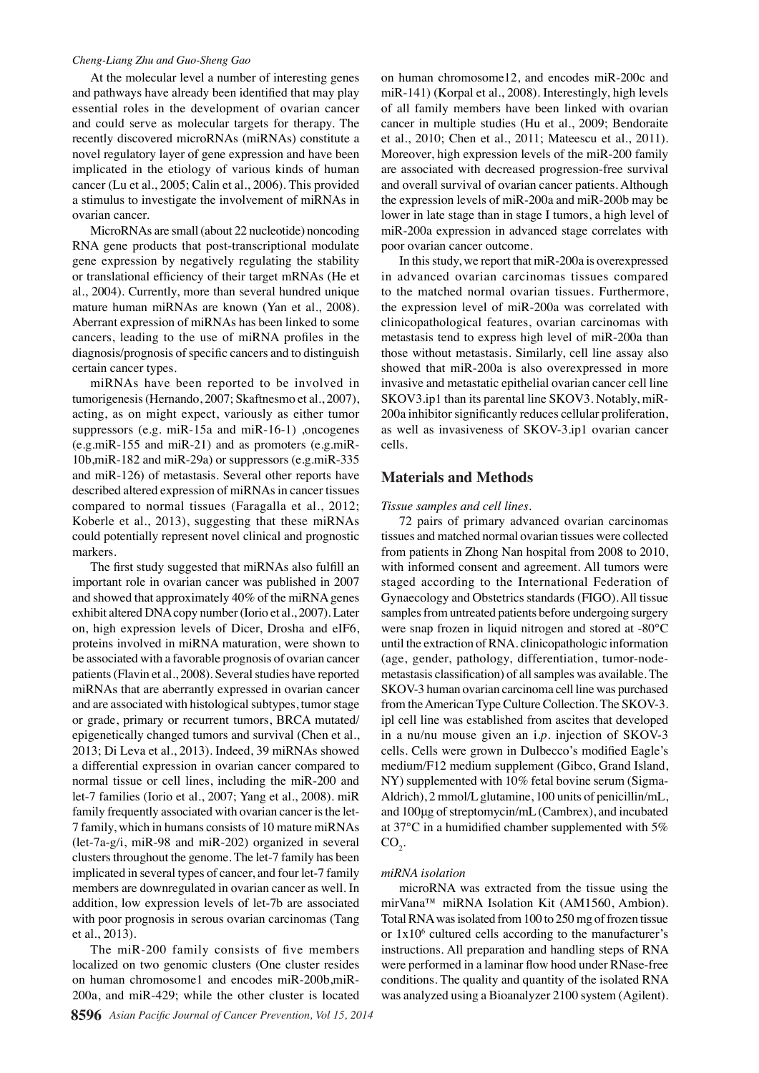#### *Cheng-Liang Zhu and Guo-Sheng Gao*

At the molecular level a number of interesting genes and pathways have already been identified that may play essential roles in the development of ovarian cancer and could serve as molecular targets for therapy. The recently discovered microRNAs (miRNAs) constitute a novel regulatory layer of gene expression and have been implicated in the etiology of various kinds of human cancer (Lu et al., 2005; Calin et al., 2006). This provided a stimulus to investigate the involvement of miRNAs in ovarian cancer.

MicroRNAs are small (about 22 nucleotide) noncoding RNA gene products that post-transcriptional modulate gene expression by negatively regulating the stability or translational efficiency of their target mRNAs (He et al., 2004). Currently, more than several hundred unique mature human miRNAs are known (Yan et al., 2008). Aberrant expression of miRNAs has been linked to some cancers, leading to the use of miRNA profiles in the diagnosis/prognosis of specific cancers and to distinguish certain cancer types.

miRNAs have been reported to be involved in tumorigenesis (Hernando, 2007; Skaftnesmo et al., 2007), acting, as on might expect, variously as either tumor suppressors (e.g. miR-15a and miR-16-1) ,oncogenes (e.g.miR-155 and miR-21) and as promoters (e.g.miR-10b,miR-182 and miR-29a) or suppressors (e.g.miR-335 and miR-126) of metastasis. Several other reports have described altered expression of miRNAs in cancer tissues compared to normal tissues (Faragalla et al., 2012; Koberle et al., 2013), suggesting that these miRNAs could potentially represent novel clinical and prognostic markers.

The first study suggested that miRNAs also fulfill an important role in ovarian cancer was published in 2007 and showed that approximately 40% of the miRNA genes exhibit altered DNA copy number (Iorio et al., 2007). Later on, high expression levels of Dicer, Drosha and eIF6, proteins involved in miRNA maturation, were shown to be associated with a favorable prognosis of ovarian cancer patients (Flavin et al., 2008). Several studies have reported miRNAs that are aberrantly expressed in ovarian cancer and are associated with histological subtypes, tumor stage or grade, primary or recurrent tumors, BRCA mutated/ epigenetically changed tumors and survival (Chen et al., 2013; Di Leva et al., 2013). Indeed, 39 miRNAs showed a differential expression in ovarian cancer compared to normal tissue or cell lines, including the miR-200 and let-7 families (Iorio et al., 2007; Yang et al., 2008). miR family frequently associated with ovarian cancer is the let-7 family, which in humans consists of 10 mature miRNAs (let-7a-g/i, miR-98 and miR-202) organized in several clusters throughout the genome. The let-7 family has been implicated in several types of cancer, and four let-7 family members are downregulated in ovarian cancer as well. In addition, low expression levels of let-7b are associated with poor prognosis in serous ovarian carcinomas (Tang et al., 2013).

The miR-200 family consists of five members localized on two genomic clusters (One cluster resides on human chromosome1 and encodes miR-200b,miR-200a, and miR-429; while the other cluster is located on human chromosome12, and encodes miR-200c and miR-141) (Korpal et al., 2008). Interestingly, high levels of all family members have been linked with ovarian cancer in multiple studies (Hu et al., 2009; Bendoraite et al., 2010; Chen et al., 2011; Mateescu et al., 2011). Moreover, high expression levels of the miR-200 family are associated with decreased progression-free survival and overall survival of ovarian cancer patients. Although the expression levels of miR-200a and miR-200b may be lower in late stage than in stage I tumors, a high level of miR-200a expression in advanced stage correlates with poor ovarian cancer outcome.

In this study, we report that miR-200a is overexpressed in advanced ovarian carcinomas tissues compared to the matched normal ovarian tissues. Furthermore, the expression level of miR-200a was correlated with clinicopathological features, ovarian carcinomas with metastasis tend to express high level of miR-200a than those without metastasis. Similarly, cell line assay also showed that miR-200a is also overexpressed in more invasive and metastatic epithelial ovarian cancer cell line SKOV3.ip1 than its parental line SKOV3. Notably, miR-200a inhibitor significantly reduces cellular proliferation, as well as invasiveness of SKOV-3.ip1 ovarian cancer cells.

# **Materials and Methods**

#### *Tissue samples and cell lines.*

72 pairs of primary advanced ovarian carcinomas tissues and matched normal ovarian tissues were collected from patients in Zhong Nan hospital from 2008 to 2010, with informed consent and agreement. All tumors were staged according to the International Federation of Gynaecology and Obstetrics standards (FIGO). All tissue samples from untreated patients before undergoing surgery were snap frozen in liquid nitrogen and stored at -80°C until the extraction of RNA. clinicopathologic information (age, gender, pathology, differentiation, tumor-nodemetastasis classification) of all samples was available. The SKOV-3 human ovarian carcinoma cell line was purchased from the American Type Culture Collection. The SKOV-3. ipl cell line was established from ascites that developed in a nu/nu mouse given an i.*p*. injection of SKOV-3 cells. Cells were grown in Dulbecco's modified Eagle's medium/F12 medium supplement (Gibco, Grand Island, NY) supplemented with 10% fetal bovine serum (Sigma-Aldrich), 2 mmol/L glutamine, 100 units of penicillin/mL, and 100μg of streptomycin/mL (Cambrex), and incubated at 37°C in a humidified chamber supplemented with 5%  $CO<sub>2</sub>$ .

#### *miRNA isolation*

microRNA was extracted from the tissue using the mirVana™ miRNA Isolation Kit (AM1560, Ambion). Total RNA was isolated from 100 to 250 mg of frozen tissue or  $1x10<sup>6</sup>$  cultured cells according to the manufacturer's instructions. All preparation and handling steps of RNA were performed in a laminar flow hood under RNase-free conditions. The quality and quantity of the isolated RNA was analyzed using a Bioanalyzer 2100 system (Agilent).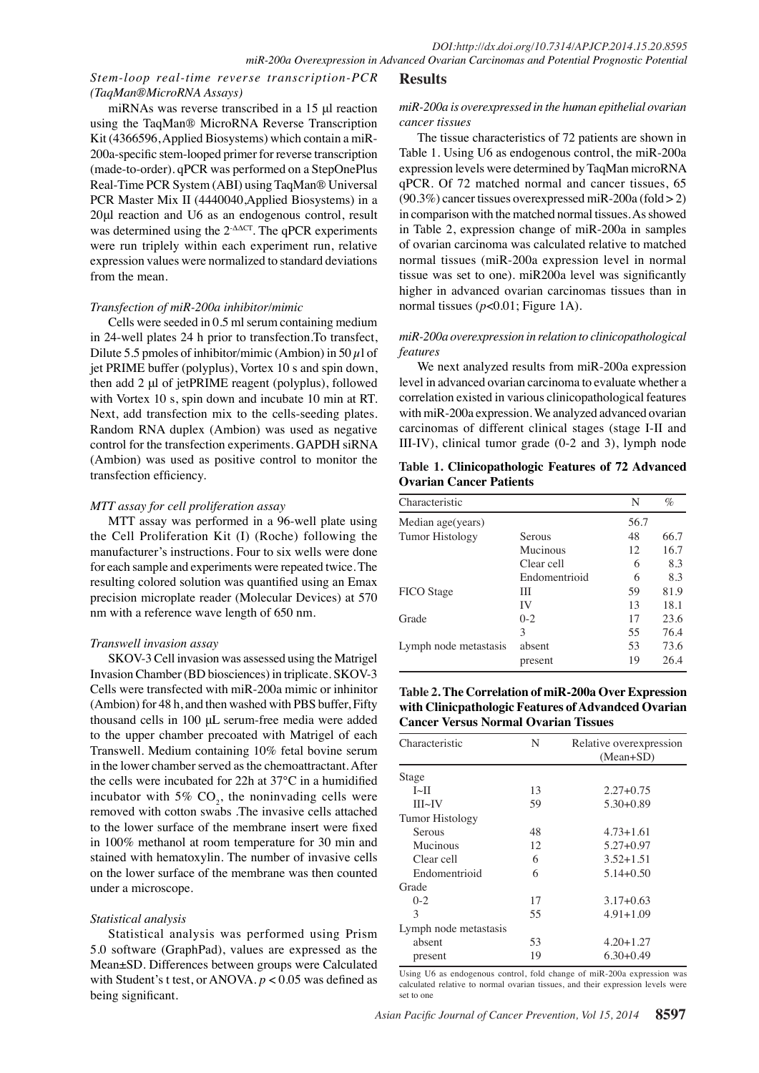# *Stem-loop real-time reverse transcription-PCR (TaqMan®MicroRNA Assays)*

# **Results**

### *miR-200a is overexpressed in the human epithelial ovarian cancer tissues*

miRNAs was reverse transcribed in a 15 μl reaction using the TaqMan® MicroRNA Reverse Transcription Kit (4366596, Applied Biosystems) which contain a miR-200a-specific stem-looped primer for reverse transcription (made-to-order). qPCR was performed on a StepOnePlus Real-Time PCR System (ABI) using TaqMan® Universal PCR Master Mix II (4440040,Applied Biosystems) in a 20μl reaction and U6 as an endogenous control, result was determined using the 2-ΔΔCT. The qPCR experiments were run triplely within each experiment run, relative expression values were normalized to standard deviations from the mean.

### *Transfection of miR-200a inhibitor/mimic*

Cells were seeded in 0.5 ml serum containing medium in 24-well plates 24 h prior to transfection.To transfect, Dilute 5.5 pmoles of inhibitor/mimic (Ambion) in 50  $\mu$ l of jet PRIME buffer (polyplus), Vortex 10 s and spin down, then add 2 μl of jetPRIME reagent (polyplus), followed with Vortex 10 s, spin down and incubate 10 min at RT. Next, add transfection mix to the cells-seeding plates. Random RNA duplex (Ambion) was used as negative control for the transfection experiments. GAPDH siRNA (Ambion) was used as positive control to monitor the transfection efficiency.

## *MTT assay for cell proliferation assay*

MTT assay was performed in a 96-well plate using the Cell Proliferation Kit (I) (Roche) following the manufacturer's instructions. Four to six wells were done for each sample and experiments were repeated twice. The resulting colored solution was quantified using an Emax precision microplate reader (Molecular Devices) at 570 nm with a reference wave length of 650 nm.

## *Transwell invasion assay*

SKOV-3 Cell invasion was assessed using the Matrigel Invasion Chamber (BD biosciences) in triplicate. SKOV-3 Cells were transfected with miR-200a mimic or inhinitor (Ambion) for 48 h, and then washed with PBS buffer, Fifty thousand cells in 100 μL serum-free media were added to the upper chamber precoated with Matrigel of each Transwell. Medium containing 10% fetal bovine serum in the lower chamber served as the chemoattractant. After the cells were incubated for 22h at 37°C in a humidified incubator with 5%  $CO<sub>2</sub>$ , the noninvading cells were removed with cotton swabs .The invasive cells attached to the lower surface of the membrane insert were fixed in 100% methanol at room temperature for 30 min and stained with hematoxylin. The number of invasive cells on the lower surface of the membrane was then counted under a microscope.

## *Statistical analysis*

Statistical analysis was performed using Prism 5.0 software (GraphPad), values are expressed as the Mean±SD. Differences between groups were Calculated with Student's t test, or ANOVA. *p* < 0.05 was defined as being significant.

The tissue characteristics of 72 patients are shown in Table 1. Using U6 as endogenous control, the miR-200a expression levels were determined by TaqMan microRNA qPCR. Of 72 matched normal and cancer tissues, 65  $(90.3\%)$  cancer tissues overexpressed miR-200a (fold > 2) in comparison with the matched normal tissues. As showed in Table 2, expression change of miR-200a in samples of ovarian carcinoma was calculated relative to matched normal tissues (miR-200a expression level in normal tissue was set to one). miR200a level was significantly higher in advanced ovarian carcinomas tissues than in normal tissues (*p*<0.01; Figure 1A).

## *miR-200a overexpression in relation to clinicopathological features*

We next analyzed results from miR-200a expression level in advanced ovarian carcinoma to evaluate whether a correlation existed in various clinicopathological features with miR-200a expression. We analyzed advanced ovarian carcinomas of different clinical stages (stage I-II and III-IV), clinical tumor grade (0-2 and 3), lymph node

**Table 1. Clinicopathologic Features of 72 Advanced Ovarian Cancer Patients**

| Characteristic         |               | N    | $\%$ |
|------------------------|---------------|------|------|
| Median age(years)      |               | 56.7 |      |
| <b>Tumor Histology</b> | Serous        | 48   | 66.7 |
|                        | Mucinous      | 12   | 16.7 |
|                        | Clear cell    | 6    | 8.3  |
|                        | Endomentrioid | 6    | 8.3  |
| FICO Stage             | Ш             | 59   | 81.9 |
|                        | IV            | 13   | 18.1 |
| Grade                  | $0 - 2$       | 17   | 23.6 |
|                        | 3             | 55   | 76.4 |
| Lymph node metastasis  | absent        | 53   | 73.6 |
|                        | present       | 19   | 26.4 |

**Table 2. The Correlation of miR-200a Over Expression with Clinicpathologic Features of Advandced Ovarian Cancer Versus Normal Ovarian Tissues**

| Characteristic         | N  | Relative overexpression<br>$(Mean+SD)$ |
|------------------------|----|----------------------------------------|
| Stage                  |    |                                        |
| $I\sim II$             | 13 | $2.27 + 0.75$                          |
| III~V                  | 59 | $5.30 + 0.89$                          |
| <b>Tumor Histology</b> |    |                                        |
| Serous                 | 48 | $4.73 + 1.61$                          |
| Mucinous               | 12 | $5.27 + 0.97$                          |
| Clear cell             | 6  | $3.52 + 1.51$                          |
| Endomentrioid          | 6  | $5.14 + 0.50$                          |
| Grade                  |    |                                        |
| $0-2$                  | 17 | $3.17 + 0.63$                          |
| 3                      | 55 | $4.91 + 1.09$                          |
| Lymph node metastasis  |    |                                        |
| absent                 | 53 | $4.20 + 1.27$                          |
| present                | 19 | $6.30+0.49$                            |

Using U6 as endogenous control, fold change of miR-200a expression was calculated relative to normal ovarian tissues, and their expression levels were set to one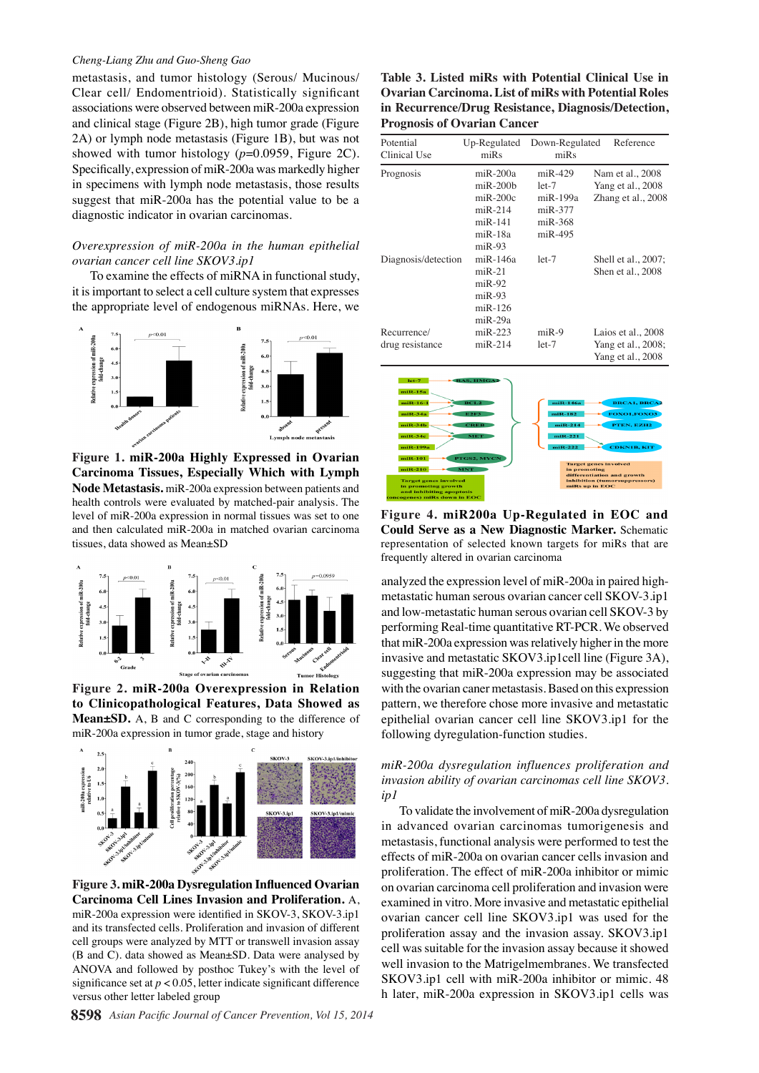#### *Cheng-Liang Zhu and Guo-Sheng Gao*

metastasis, and tumor histology (Serous/ Mucinous/ Clear cell/ Endomentrioid). Statistically significant associations were observed between miR-200a expression and clinical stage (Figure 2B), high tumor grade (Figure 2A) or lymph node metastasis (Figure 1B), but was not showed with tumor histology  $(p=0.0959,$  Figure 2C). Specifically, expression of miR-200a was markedly higher in specimens with lymph node metastasis, those results suggest that miR-200a has the potential value to be a diagnostic indicator in ovarian carcinomas.

#### *Overexpression of miR-200a in the human epithelial ovarian cancer cell line SKOV3.ip1*

To examine the effects of miRNA in functional study, it is important to select a cell culture system that expresses the appropriate level of endogenous miRNAs. Here, we



**Figure 1. miR-200a Highly Expressed in Ovarian Carcinoma Tissues, Especially Which with Lymph Node Metastasis.** miR-200a expression between patients and health controls were evaluated by matched-pair analysis. The level of miR-200a expression in normal tissues was set to one and then calculated miR-200a in matched ovarian carcinoma tissues, data showed as Mean±SD



**Figure 2. miR-200a Overexpression in Relation to Clinicopathological Features, Data Showed as Mean±SD.** A, B and C corresponding to the difference of miR-200a expression in tumor grade, stage and history



**Figure 3. miR-200a Dysregulation Influenced Ovarian Carcinoma Cell Lines Invasion and Proliferation.** A, miR-200a expression were identified in SKOV-3, SKOV-3.ip1 and its transfected cells. Proliferation and invasion of different cell groups were analyzed by MTT or transwell invasion assay (B and C). data showed as Mean±SD. Data were analysed by ANOVA and followed by posthoc Tukey's with the level of significance set at *p* < 0.05, letter indicate significant difference versus other letter labeled group

**Table 3. Listed miRs with Potential Clinical Use in Ovarian Carcinoma. List of miRs with Potential Roles in Recurrence/Drug Resistance, Diagnosis/Detection, Prognosis of Ovarian Cancer**

| o<br>Potential      | Up-Regulated       | Down-Regulated                | Reference           |  |
|---------------------|--------------------|-------------------------------|---------------------|--|
| Clinical Use        | $m$ i $Rs$         | $m$ i $Rs$                    |                     |  |
| Prognosis           | $m$ iR-200a        | $miR-429$<br>Nam et al., 2008 |                     |  |
|                     | $m$ i $R$ -200 $b$ | $let-7$                       | Yang et al., 2008   |  |
|                     | $m$ i $R$ -200 $c$ | $m$ i $R - 199a$              | Zhang et al., 2008  |  |
|                     | $miR-214$          | $miR-377$                     |                     |  |
|                     | $miR-141$          | $m$ i $R-368$                 |                     |  |
|                     | $m$ i $R-18a$      | $m$ i $R-495$                 |                     |  |
|                     | $miR-93$           |                               |                     |  |
| Diagnosis/detection | $m$ i $R - 146a$   | $let-7$                       | Shell et al., 2007; |  |
|                     | $miR-21$           |                               | Shen et al., 2008   |  |
|                     | $miR-92$           |                               |                     |  |
|                     | $miR-93$           |                               |                     |  |
|                     | $miR-126$          |                               |                     |  |
|                     | miR-29a            |                               |                     |  |
| Recurrence/         | $m$ iR-223         | $miR-9$                       | Laios et al., 2008  |  |
| drug resistance     | $m$ iR-214         | $let-7$                       | Yang et al., 2008;  |  |
|                     |                    |                               | Yang et al., 2008   |  |
|                     |                    |                               |                     |  |
| niR-15a             |                    |                               |                     |  |
| $miR-16-1$          | BCL2               | $m$ i $R-146a$                |                     |  |
| $mIR-34a$           |                    | $mIR-182$                     |                     |  |
| $mIR-34b$           | CREB               | $mIR-214$                     | PTEN, EZH2          |  |



**Figure 4. miR200a Up-Regulated in EOC and Could Serve as a New Diagnostic Marker.** Schematic representation of selected known targets for miRs that are frequently altered in ovarian carcinoma

analyzed the expression level of miR-200a in paired highmetastatic human serous ovarian cancer cell SKOV-3.ip1 and low-metastatic human serous ovarian cell SKOV-3 by performing Real-time quantitative RT-PCR. We observed that miR-200a expression was relatively higher in the more invasive and metastatic SKOV3.ip1cell line (Figure 3A), suggesting that miR-200a expression may be associated with the ovarian caner metastasis. Based on this expression pattern, we therefore chose more invasive and metastatic epithelial ovarian cancer cell line SKOV3.ip1 for the following dyregulation-function studies.

## *miR-200a dysregulation influences proliferation and invasion ability of ovarian carcinomas cell line SKOV3. ip1*

To validate the involvement of miR-200a dysregulation in advanced ovarian carcinomas tumorigenesis and metastasis, functional analysis were performed to test the effects of miR-200a on ovarian cancer cells invasion and proliferation. The effect of miR-200a inhibitor or mimic on ovarian carcinoma cell proliferation and invasion were examined in vitro. More invasive and metastatic epithelial ovarian cancer cell line SKOV3.ip1 was used for the proliferation assay and the invasion assay. SKOV3.ip1 cell was suitable for the invasion assay because it showed well invasion to the Matrigelmembranes. We transfected SKOV3.ip1 cell with miR-200a inhibitor or mimic. 48 h later, miR-200a expression in SKOV3.ip1 cells was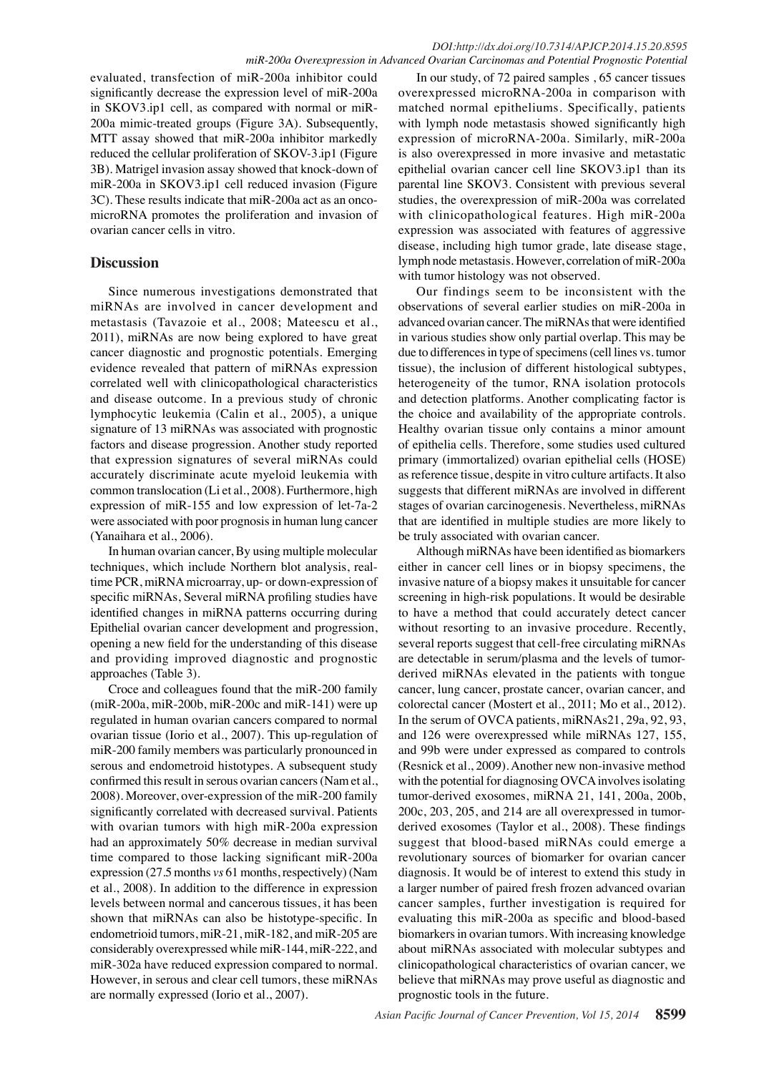### *DOI:http://dx.doi.org/10.7314/APJCP.2014.15.20.8595 miR-200a Overexpression in Advanced Ovarian Carcinomas and Potential Prognostic Potential*

evaluated, transfection of miR-200a inhibitor could significantly decrease the expression level of miR-200a in SKOV3.ip1 cell, as compared with normal or miR-200a mimic-treated groups (Figure 3A). Subsequently, MTT assay showed that miR-200a inhibitor markedly reduced the cellular proliferation of SKOV-3.ip1 (Figure 3B). Matrigel invasion assay showed that knock-down of miR-200a in SKOV3.ip1 cell reduced invasion (Figure 3C). These results indicate that miR-200a act as an oncomicroRNA promotes the proliferation and invasion of ovarian cancer cells in vitro.

# **Discussion**

Since numerous investigations demonstrated that miRNAs are involved in cancer development and metastasis (Tavazoie et al., 2008; Mateescu et al., 2011), miRNAs are now being explored to have great cancer diagnostic and prognostic potentials. Emerging evidence revealed that pattern of miRNAs expression correlated well with clinicopathological characteristics and disease outcome. In a previous study of chronic lymphocytic leukemia (Calin et al., 2005), a unique signature of 13 miRNAs was associated with prognostic factors and disease progression. Another study reported that expression signatures of several miRNAs could accurately discriminate acute myeloid leukemia with common translocation (Li et al., 2008). Furthermore, high expression of miR-155 and low expression of let-7a-2 were associated with poor prognosis in human lung cancer (Yanaihara et al., 2006).

In human ovarian cancer, By using multiple molecular techniques, which include Northern blot analysis, realtime PCR, miRNA microarray, up- or down-expression of specific miRNAs, Several miRNA profiling studies have identified changes in miRNA patterns occurring during Epithelial ovarian cancer development and progression, opening a new field for the understanding of this disease and providing improved diagnostic and prognostic approaches (Table 3).

Croce and colleagues found that the miR-200 family (miR-200a, miR-200b, miR-200c and miR-141) were up regulated in human ovarian cancers compared to normal ovarian tissue (Iorio et al., 2007). This up-regulation of miR-200 family members was particularly pronounced in serous and endometroid histotypes. A subsequent study confirmed this result in serous ovarian cancers (Nam et al., 2008). Moreover, over-expression of the miR-200 family significantly correlated with decreased survival. Patients with ovarian tumors with high miR-200a expression had an approximately 50% decrease in median survival time compared to those lacking significant miR-200a expression (27.5 months *vs* 61 months, respectively) (Nam et al., 2008). In addition to the difference in expression levels between normal and cancerous tissues, it has been shown that miRNAs can also be histotype-specific. In endometrioid tumors, miR-21, miR-182, and miR-205 are considerably overexpressed while miR-144, miR-222, and miR-302a have reduced expression compared to normal. However, in serous and clear cell tumors, these miRNAs are normally expressed (Iorio et al., 2007).

In our study, of 72 paired samples , 65 cancer tissues overexpressed microRNA-200a in comparison with matched normal epitheliums. Specifically, patients with lymph node metastasis showed significantly high expression of microRNA-200a. Similarly, miR-200a is also overexpressed in more invasive and metastatic epithelial ovarian cancer cell line SKOV3.ip1 than its parental line SKOV3. Consistent with previous several studies, the overexpression of miR-200a was correlated with clinicopathological features. High miR-200a expression was associated with features of aggressive disease, including high tumor grade, late disease stage, lymph node metastasis. However, correlation of miR-200a with tumor histology was not observed.

Our findings seem to be inconsistent with the observations of several earlier studies on miR-200a in advanced ovarian cancer. The miRNAs that were identified in various studies show only partial overlap. This may be due to differences in type of specimens (cell lines vs. tumor tissue), the inclusion of different histological subtypes, heterogeneity of the tumor, RNA isolation protocols and detection platforms. Another complicating factor is the choice and availability of the appropriate controls. Healthy ovarian tissue only contains a minor amount of epithelia cells. Therefore, some studies used cultured primary (immortalized) ovarian epithelial cells (HOSE) as reference tissue, despite in vitro culture artifacts. It also suggests that different miRNAs are involved in different stages of ovarian carcinogenesis. Nevertheless, miRNAs that are identified in multiple studies are more likely to be truly associated with ovarian cancer.

Although miRNAs have been identified as biomarkers either in cancer cell lines or in biopsy specimens, the invasive nature of a biopsy makes it unsuitable for cancer screening in high-risk populations. It would be desirable to have a method that could accurately detect cancer without resorting to an invasive procedure. Recently, several reports suggest that cell-free circulating miRNAs are detectable in serum/plasma and the levels of tumorderived miRNAs elevated in the patients with tongue cancer, lung cancer, prostate cancer, ovarian cancer, and colorectal cancer (Mostert et al., 2011; Mo et al., 2012). In the serum of OVCA patients, miRNAs21, 29a, 92, 93, and 126 were overexpressed while miRNAs 127, 155, and 99b were under expressed as compared to controls (Resnick et al., 2009). Another new non-invasive method with the potential for diagnosing OVCA involves isolating tumor-derived exosomes, miRNA 21, 141, 200a, 200b, 200c, 203, 205, and 214 are all overexpressed in tumorderived exosomes (Taylor et al., 2008). These findings suggest that blood-based miRNAs could emerge a revolutionary sources of biomarker for ovarian cancer diagnosis. It would be of interest to extend this study in a larger number of paired fresh frozen advanced ovarian cancer samples, further investigation is required for evaluating this miR-200a as specific and blood-based biomarkers in ovarian tumors. With increasing knowledge about miRNAs associated with molecular subtypes and clinicopathological characteristics of ovarian cancer, we believe that miRNAs may prove useful as diagnostic and prognostic tools in the future.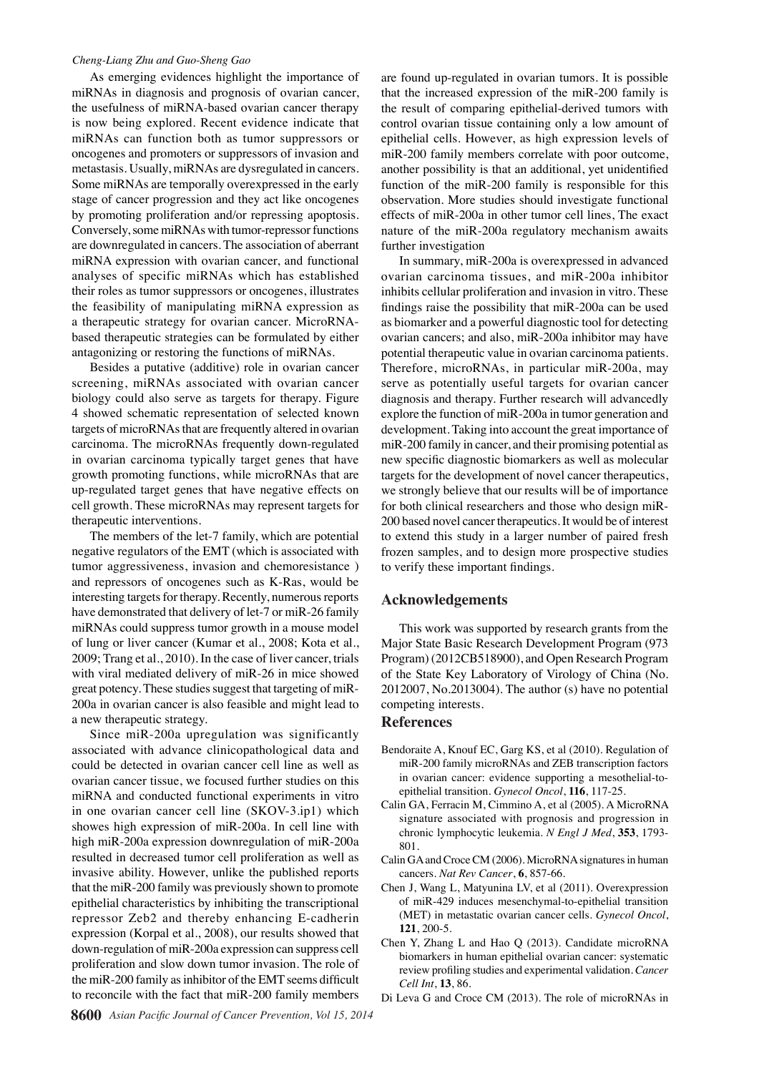#### *Cheng-Liang Zhu and Guo-Sheng Gao*

As emerging evidences highlight the importance of miRNAs in diagnosis and prognosis of ovarian cancer, the usefulness of miRNA-based ovarian cancer therapy is now being explored. Recent evidence indicate that miRNAs can function both as tumor suppressors or oncogenes and promoters or suppressors of invasion and metastasis. Usually, miRNAs are dysregulated in cancers. Some miRNAs are temporally overexpressed in the early stage of cancer progression and they act like oncogenes by promoting proliferation and/or repressing apoptosis. Conversely, some miRNAs with tumor-repressor functions are downregulated in cancers. The association of aberrant miRNA expression with ovarian cancer, and functional analyses of specific miRNAs which has established their roles as tumor suppressors or oncogenes, illustrates the feasibility of manipulating miRNA expression as a therapeutic strategy for ovarian cancer. MicroRNAbased therapeutic strategies can be formulated by either antagonizing or restoring the functions of miRNAs.

Besides a putative (additive) role in ovarian cancer screening, miRNAs associated with ovarian cancer biology could also serve as targets for therapy. Figure 4 showed schematic representation of selected known targets of microRNAs that are frequently altered in ovarian carcinoma. The microRNAs frequently down-regulated in ovarian carcinoma typically target genes that have growth promoting functions, while microRNAs that are up-regulated target genes that have negative effects on cell growth. These microRNAs may represent targets for therapeutic interventions.

The members of the let-7 family, which are potential negative regulators of the EMT (which is associated with tumor aggressiveness, invasion and chemoresistance ) and repressors of oncogenes such as K-Ras, would be interesting targets for therapy. Recently, numerous reports have demonstrated that delivery of let-7 or miR-26 family miRNAs could suppress tumor growth in a mouse model of lung or liver cancer (Kumar et al., 2008; Kota et al., 2009; Trang et al., 2010). In the case of liver cancer, trials with viral mediated delivery of miR-26 in mice showed great potency. These studies suggest that targeting of miR-200a in ovarian cancer is also feasible and might lead to a new therapeutic strategy.

Since miR-200a upregulation was significantly associated with advance clinicopathological data and could be detected in ovarian cancer cell line as well as ovarian cancer tissue, we focused further studies on this miRNA and conducted functional experiments in vitro in one ovarian cancer cell line (SKOV-3.ip1) which showes high expression of miR-200a. In cell line with high miR-200a expression downregulation of miR-200a resulted in decreased tumor cell proliferation as well as invasive ability. However, unlike the published reports that the miR-200 family was previously shown to promote epithelial characteristics by inhibiting the transcriptional repressor Zeb2 and thereby enhancing E-cadherin expression (Korpal et al., 2008), our results showed that down-regulation of miR-200a expression can suppress cell proliferation and slow down tumor invasion. The role of the miR-200 family as inhibitor of the EMT seems difficult to reconcile with the fact that miR-200 family members

are found up-regulated in ovarian tumors. It is possible that the increased expression of the miR-200 family is the result of comparing epithelial-derived tumors with control ovarian tissue containing only a low amount of epithelial cells. However, as high expression levels of miR-200 family members correlate with poor outcome, another possibility is that an additional, yet unidentified function of the miR-200 family is responsible for this observation. More studies should investigate functional effects of miR-200a in other tumor cell lines, The exact nature of the miR-200a regulatory mechanism awaits further investigation

In summary, miR-200a is overexpressed in advanced ovarian carcinoma tissues, and miR-200a inhibitor inhibits cellular proliferation and invasion in vitro. These findings raise the possibility that miR-200a can be used as biomarker and a powerful diagnostic tool for detecting ovarian cancers; and also, miR-200a inhibitor may have potential therapeutic value in ovarian carcinoma patients. Therefore, microRNAs, in particular miR-200a, may serve as potentially useful targets for ovarian cancer diagnosis and therapy. Further research will advancedly explore the function of miR-200a in tumor generation and development. Taking into account the great importance of miR-200 family in cancer, and their promising potential as new specific diagnostic biomarkers as well as molecular targets for the development of novel cancer therapeutics, we strongly believe that our results will be of importance for both clinical researchers and those who design miR-200 based novel cancer therapeutics. It would be of interest to extend this study in a larger number of paired fresh frozen samples, and to design more prospective studies to verify these important findings.

#### **Acknowledgements**

This work was supported by research grants from the Major State Basic Research Development Program (973 Program) (2012CB518900), and Open Research Program of the State Key Laboratory of Virology of China (No. 2012007, No.2013004). The author (s) have no potential competing interests.

#### **References**

- Bendoraite A, Knouf EC, Garg KS, et al (2010). Regulation of miR-200 family microRNAs and ZEB transcription factors in ovarian cancer: evidence supporting a mesothelial-toepithelial transition. *Gynecol Oncol*, **116**, 117-25.
- Calin GA, Ferracin M, Cimmino A, et al (2005). A MicroRNA signature associated with prognosis and progression in chronic lymphocytic leukemia. *N Engl J Med*, **353**, 1793- 801.
- Calin GA and Croce CM (2006). MicroRNA signatures in human cancers. *Nat Rev Cancer*, **6**, 857-66.
- Chen J, Wang L, Matyunina LV, et al (2011). Overexpression of miR-429 induces mesenchymal-to-epithelial transition (MET) in metastatic ovarian cancer cells. *Gynecol Oncol*, **121**, 200-5.
- Chen Y, Zhang L and Hao Q (2013). Candidate microRNA biomarkers in human epithelial ovarian cancer: systematic review profiling studies and experimental validation. *Cancer Cell Int*, **13**, 86.
- Di Leva G and Croce CM (2013). The role of microRNAs in